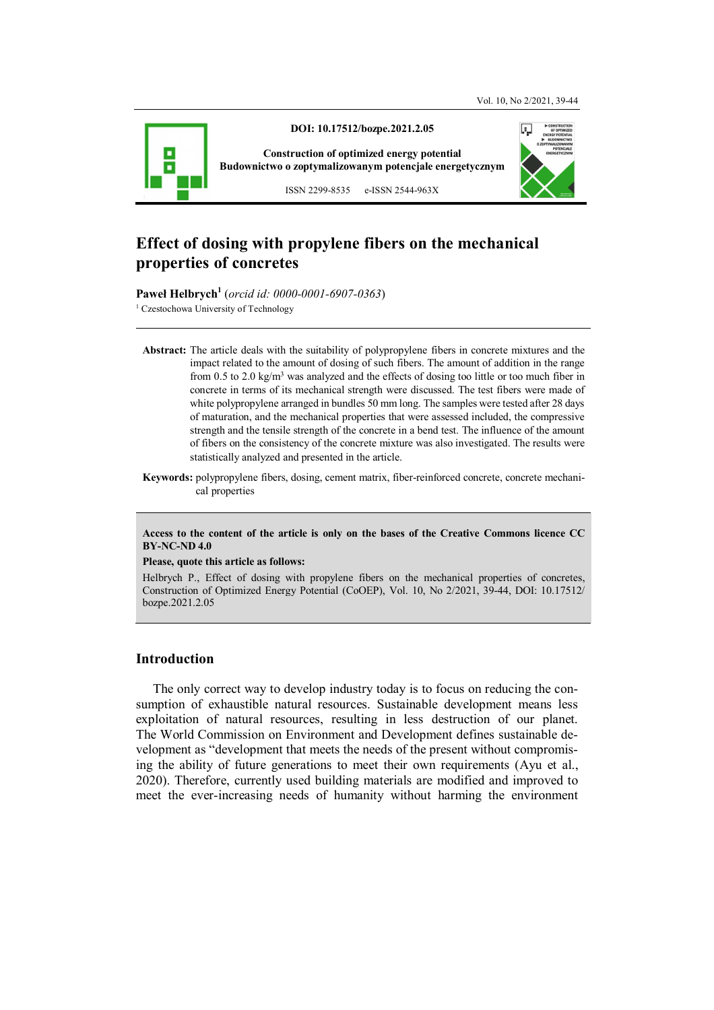

**DOI: 10.17512/bozpe.2021.2.05** 

**Construction of optimized energy potential Budownictwo o zoptymalizowanym potencjale energetycznym**



ISSN 2299-8535 e-ISSN 2544-963X

# **Effect of dosing with propylene fibers on the mechanical properties of concretes**

**Paweł Helbrych<sup>1</sup>** (*orcid id: 0000-0001-6907-0363*)

<sup>1</sup> Czestochowa University of Technology

**Abstract:** The article deals with the suitability of polypropylene fibers in concrete mixtures and the impact related to the amount of dosing of such fibers. The amount of addition in the range from 0.5 to 2.0 kg/m<sup>3</sup> was analyzed and the effects of dosing too little or too much fiber in concrete in terms of its mechanical strength were discussed. The test fibers were made of white polypropylene arranged in bundles 50 mm long. The samples were tested after 28 days of maturation, and the mechanical properties that were assessed included, the compressive strength and the tensile strength of the concrete in a bend test. The influence of the amount of fibers on the consistency of the concrete mixture was also investigated. The results were statistically analyzed and presented in the article.

#### **Access to the content of the article is only on the bases of the Creative Commons licence CC BY-NC-ND 4.0**

#### **Please, quote this article as follows:**

Helbrych P., Effect of dosing with propylene fibers on the mechanical properties of concretes, Construction of Optimized Energy Potential (CoOEP), Vol. 10, No 2/2021, 39-44, DOI: 10.17512/ bozpe.2021.2.05

# **Introduction**

The only correct way to develop industry today is to focus on reducing the consumption of exhaustible natural resources. Sustainable development means less exploitation of natural resources, resulting in less destruction of our planet. The World Commission on Environment and Development defines sustainable development as "development that meets the needs of the present without compromising the ability of future generations to meet their own requirements (Ayu et al., 2020). Therefore, currently used building materials are modified and improved to meet the ever-increasing needs of humanity without harming the environment

**Keywords:** polypropylene fibers, dosing, cement matrix, fiber-reinforced concrete, concrete mechanical properties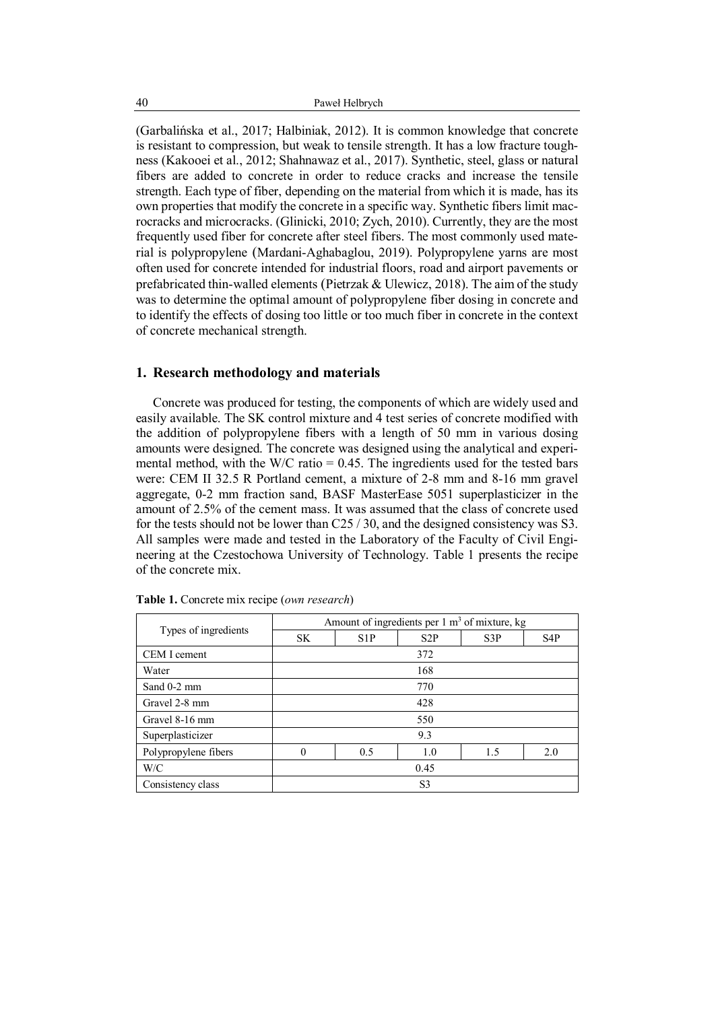(Garbalińska et al., 2017; Halbiniak, 2012). It is common knowledge that concrete is resistant to compression, but weak to tensile strength. It has a low fracture toughness (Kakooei et al., 2012; Shahnawaz et al., 2017). Synthetic, steel, glass or natural fibers are added to concrete in order to reduce cracks and increase the tensile strength. Each type of fiber, depending on the material from which it is made, has its own properties that modify the concrete in a specific way. Synthetic fibers limit macrocracks and microcracks. (Glinicki, 2010; Zych, 2010). Currently, they are the most frequently used fiber for concrete after steel fibers. The most commonly used material is polypropylene (Mardani-Aghabaglou, 2019). Polypropylene yarns are most often used for concrete intended for industrial floors, road and airport pavements or prefabricated thin-walled elements (Pietrzak & Ulewicz, 2018). The aim of the study was to determine the optimal amount of polypropylene fiber dosing in concrete and to identify the effects of dosing too little or too much fiber in concrete in the context of concrete mechanical strength.

### **1. Research methodology and materials**

Concrete was produced for testing, the components of which are widely used and easily available. The SK control mixture and 4 test series of concrete modified with the addition of polypropylene fibers with a length of 50 mm in various dosing amounts were designed. The concrete was designed using the analytical and experimental method, with the W/C ratio  $= 0.45$ . The ingredients used for the tested bars were: CEM II 32.5 R Portland cement, a mixture of 2-8 mm and 8-16 mm gravel aggregate, 0-2 mm fraction sand, BASF MasterEase 5051 superplasticizer in the amount of 2.5% of the cement mass. It was assumed that the class of concrete used for the tests should not be lower than C25 / 30, and the designed consistency was S3. All samples were made and tested in the Laboratory of the Faculty of Civil Engineering at the Czestochowa University of Technology. Table 1 presents the recipe of the concrete mix.

| Types of ingredients | Amount of ingredients per $1 \text{ m}^3$ of mixture, kg |     |     |     |                  |
|----------------------|----------------------------------------------------------|-----|-----|-----|------------------|
|                      | <b>SK</b>                                                | S1P | S2P | S3P | S <sub>4</sub> P |
| CEM I cement         | 372                                                      |     |     |     |                  |
| Water                | 168                                                      |     |     |     |                  |
| Sand $0-2$ mm        | 770                                                      |     |     |     |                  |
| Gravel 2-8 mm        | 428                                                      |     |     |     |                  |
| Gravel 8-16 mm       | 550                                                      |     |     |     |                  |
| Superplasticizer     | 9.3                                                      |     |     |     |                  |
| Polypropylene fibers | 0                                                        | 0.5 | 1.0 | 1.5 | 2.0              |
| W/C                  | 0.45                                                     |     |     |     |                  |
| Consistency class    | S <sub>3</sub>                                           |     |     |     |                  |

**Table 1.** Concrete mix recipe (*own research*)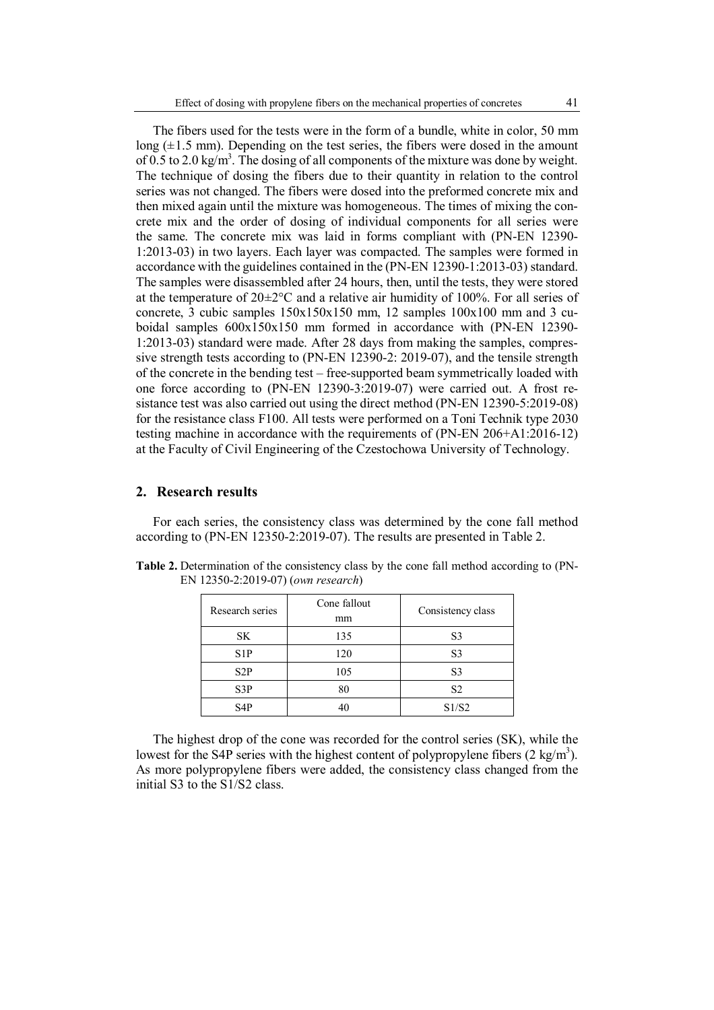The fibers used for the tests were in the form of a bundle, white in color, 50 mm long  $(\pm 1.5 \text{ mm})$ . Depending on the test series, the fibers were dosed in the amount of 0.5 to 2.0 kg/m<sup>3</sup>. The dosing of all components of the mixture was done by weight. The technique of dosing the fibers due to their quantity in relation to the control series was not changed. The fibers were dosed into the preformed concrete mix and then mixed again until the mixture was homogeneous. The times of mixing the concrete mix and the order of dosing of individual components for all series were the same. The concrete mix was laid in forms compliant with (PN-EN 12390- 1:2013-03) in two layers. Each layer was compacted. The samples were formed in accordance with the guidelines contained in the (PN-EN 12390-1:2013-03) standard. The samples were disassembled after 24 hours, then, until the tests, they were stored at the temperature of  $20\pm2\degree$ C and a relative air humidity of 100%. For all series of concrete, 3 cubic samples 150x150x150 mm, 12 samples 100x100 mm and 3 cuboidal samples 600x150x150 mm formed in accordance with (PN-EN 12390- 1:2013-03) standard were made. After 28 days from making the samples, compressive strength tests according to (PN-EN 12390-2: 2019-07), and the tensile strength of the concrete in the bending test – free-supported beam symmetrically loaded with one force according to (PN-EN 12390-3:2019-07) were carried out. A frost resistance test was also carried out using the direct method (PN-EN 12390-5:2019-08) for the resistance class F100. All tests were performed on a Toni Technik type 2030 testing machine in accordance with the requirements of (PN-EN 206+A1:2016-12) at the Faculty of Civil Engineering of the Czestochowa University of Technology.

## **2. Research results**

For each series, the consistency class was determined by the cone fall method according to (PN-EN 12350-2:2019-07). The results are presented in Table 2.

| Research series  | Cone fallout<br>mm | Consistency class |  |
|------------------|--------------------|-------------------|--|
| SK               | 135                | S <sub>3</sub>    |  |
| S1P              | 120                | S <sub>3</sub>    |  |
| S2P              | 105                | S <sub>3</sub>    |  |
| S3P              | 80                 | S <sub>2</sub>    |  |
| S <sub>4</sub> P | 40                 | S1/S2             |  |

**Table 2.** Determination of the consistency class by the cone fall method according to (PN-EN 12350-2:2019-07) (*own research*)

The highest drop of the cone was recorded for the control series (SK), while the lowest for the S4P series with the highest content of polypropylene fibers  $(2 \text{ kg/m}^3)$ . As more polypropylene fibers were added, the consistency class changed from the initial S3 to the S1/S2 class.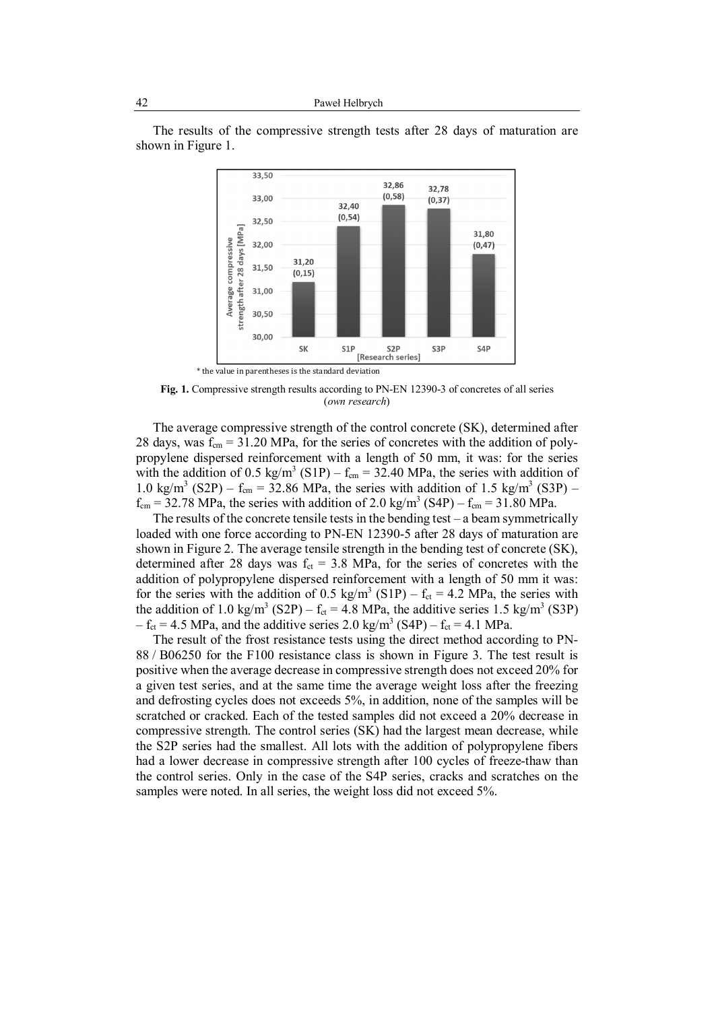The results of the compressive strength tests after 28 days of maturation are shown in Figure 1.



**Fig. 1.** Compressive strength results according to PN-EN 12390-3 of concretes of all series (*own research*)

The average compressive strength of the control concrete (SK), determined after 28 days, was  $f_{cm} = 31.20 \text{ MPa}$ , for the series of concretes with the addition of polypropylene dispersed reinforcement with a length of 50 mm, it was: for the series with the addition of 0.5 kg/m<sup>3</sup> (S1P) –  $f_{cm}$  = 32.40 MPa, the series with addition of 1.0 kg/m<sup>3</sup> (S2P) – f<sub>cm</sub> = 32.86 MPa, the series with addition of 1.5 kg/m<sup>3</sup> (S3P) –  $f_{cm}$  = 32.78 MPa, the series with addition of 2.0 kg/m<sup>3</sup> (S4P) –  $f_{cm}$  = 31.80 MPa.

The results of the concrete tensile tests in the bending test – a beam symmetrically loaded with one force according to PN-EN 12390-5 after 28 days of maturation are shown in Figure 2. The average tensile strength in the bending test of concrete (SK), determined after 28 days was  $f_{ct} = 3.8$  MPa, for the series of concretes with the addition of polypropylene dispersed reinforcement with a length of 50 mm it was: for the series with the addition of 0.5 kg/m<sup>3</sup> (S1P) –  $f_{ct} = 4.2$  MPa, the series with the addition of 1.0 kg/m<sup>3</sup> (S2P) –  $f_{ct} = 4.8$  MPa, the additive series 1.5 kg/m<sup>3</sup> (S3P)  $- f_{ct} = 4.5 \text{ MPa}$ , and the additive series 2.0 kg/m<sup>3</sup> (S4P)  $- f_{ct} = 4.1 \text{ MPa}$ .

The result of the frost resistance tests using the direct method according to PN-88 / B06250 for the F100 resistance class is shown in Figure 3. The test result is positive when the average decrease in compressive strength does not exceed 20% for a given test series, and at the same time the average weight loss after the freezing and defrosting cycles does not exceeds 5%, in addition, none of the samples will be scratched or cracked. Each of the tested samples did not exceed a 20% decrease in compressive strength. The control series (SK) had the largest mean decrease, while the S2P series had the smallest. All lots with the addition of polypropylene fibers had a lower decrease in compressive strength after 100 cycles of freeze-thaw than the control series. Only in the case of the S4P series, cracks and scratches on the samples were noted. In all series, the weight loss did not exceed 5%.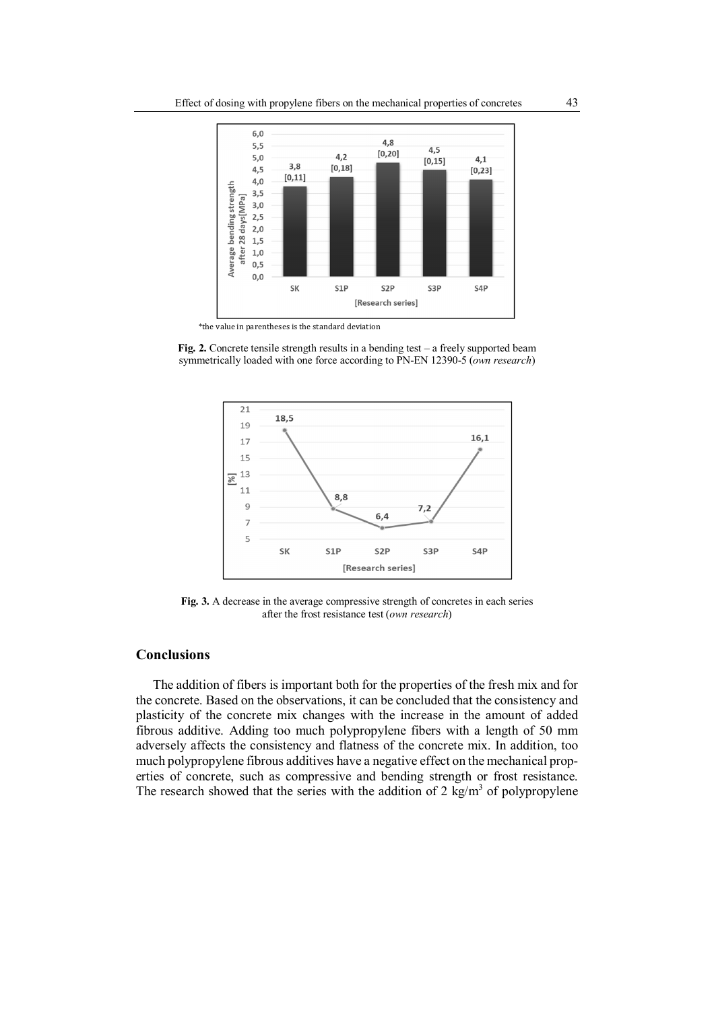

\*the value in parentheses is the standard deviation

**Fig. 2.** Concrete tensile strength results in a bending test – a freely supported beam symmetrically loaded with one force according to PN-EN 12390-5 (*own research*)



Fig. 3. A decrease in the average compressive strength of concretes in each series after the frost resistance test (*own research*)

# **Conclusions**

The addition of fibers is important both for the properties of the fresh mix and for the concrete. Based on the observations, it can be concluded that the consistency and plasticity of the concrete mix changes with the increase in the amount of added fibrous additive. Adding too much polypropylene fibers with a length of 50 mm adversely affects the consistency and flatness of the concrete mix. In addition, too much polypropylene fibrous additives have a negative effect on the mechanical properties of concrete, such as compressive and bending strength or frost resistance. The research showed that the series with the addition of 2  $\text{kg/m}^3$  of polypropylene